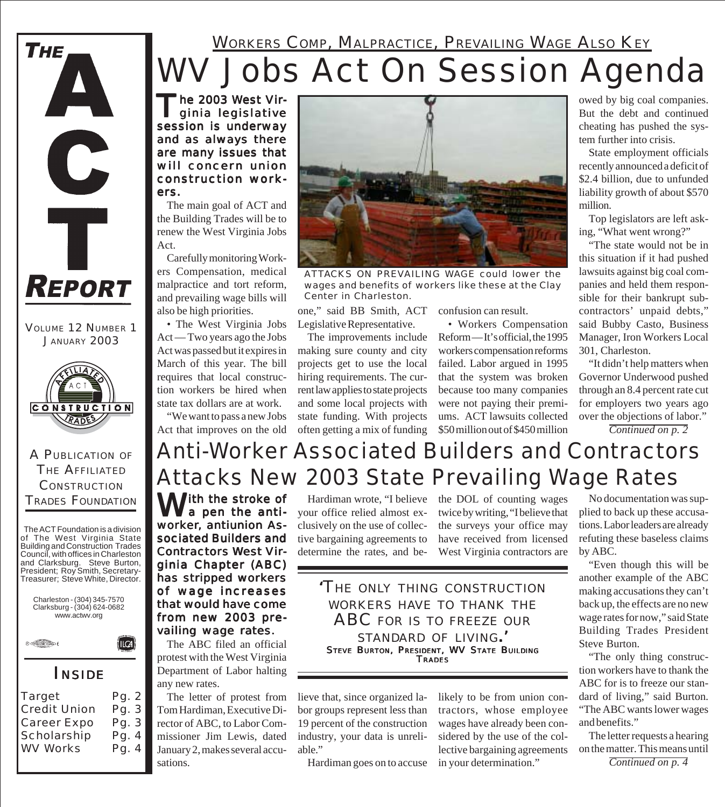#### WORKERS COMP, MALPRACTICE, PREVAILING WAGE ALSO KEY

## *WV Jobs Act On Session Agenda*

The 2003 West Vir-<br>ginia legislative session is underway and as always there are many issues that will concern union construction workers.

The main goal of ACT and the Building Trades will be to renew the West Virginia Jobs Act.

Carefully monitoring Workers Compensation, medical malpractice and tort reform, and prevailing wage bills will also be high priorities.

• The West Virginia Jobs Act — Two years ago the Jobs Act was passed but it expires in March of this year. The bill requires that local construction workers be hired when state tax dollars are at work.

"We want to pass a new Jobs Act that improves on the old

*ATTACKS ON PREVAILING WAGE could lower the wages and benefits of workers like these at the Clay Center in Charleston.*

one," said BB Smith, ACT Legislative Representative.

The improvements include making sure county and city projects get to use the local hiring requirements. The current law applies to state projects and some local projects with state funding. With projects often getting a mix of funding

confusion can result.

• Workers Compensation Reform — It's official, the 1995 workers compensation reforms failed. Labor argued in 1995 that the system was broken because too many companies were not paying their premiums. ACT lawsuits collected \$50 million out of \$450 million

owed by big coal companies. But the debt and continued cheating has pushed the system further into crisis.

State employment officials recently announced a deficit of \$2.4 billion, due to unfunded liability growth of about \$570 million.

Top legislators are left asking, "What went wrong?"

"The state would not be in this situation if it had pushed lawsuits against big coal companies and held them responsible for their bankrupt subcontractors' unpaid debts," said Bubby Casto, Business Manager, Iron Workers Local 301, Charleston.

"It didn't help matters when Governor Underwood pushed through an 8.4 percent rate cut for employers two years ago over the objections of labor."

*Continued on p. 2*

#### With the stroke of Anti-Worker Associated Builders and Contractors Attacks New 2003 State Prevailing Wage Rates

Hardiman wrote, "I believe your office relied almost exclusively on the use of collective bargaining agreements to determine the rates, and be-

the DOL of counting wages twice by writing, "I believe that the surveys your office may have received from licensed West Virginia contractors are

*'THE ONLY THING CONSTRUCTION WORKERS HAVE TO THANK THE ABC FOR IS TO FREEZE OUR STANDARD OF LIVING.'* STEVE BURTON, PRESIDENT, WV STATE BUILDING **TRADES** 

lieve that, since organized labor groups represent less than 19 percent of the construction industry, your data is unreliable."

Hardiman goes on to accuse

likely to be from union contractors, whose employee wages have already been considered by the use of the collective bargaining agreements in your determination."

No documentation was supplied to back up these accusations. Labor leaders are already refuting these baseless claims by ABC.

"Even though this will be another example of the ABC making accusations they can't back up, the effects are no new wage rates for now," said State Building Trades President Steve Burton.

"The only thing construction workers have to thank the ABC for is to freeze our standard of living," said Burton. "The ABC wants lower wages and benefits."

The letter requests a hearing on the matter. This means until

*Continued on p. 4*

a pen the antiworker, antiunion Associated Builders and Contractors West Virginia Chapter (ABC) has stripped workers of wage increases that would have come from new 2003 prevailing wage rates.

The ABC filed an official protest with the West Virginia Department of Labor halting any new rates.

The letter of protest from Tom Hardiman, Executive Director of ABC, to Labor Commissioner Jim Lewis, dated January 2, makes several accusations.

**CONSTRUCTION** TRADES FOUNDATION The ACT Foundation is a division of The West Virginia State Building and Construction Trades Council, with offices in Charleston and Clarksburg. Steve Burton,

President; Roy Smith, Secretary-Treasurer; Steve White, Director.

A PUBLICATION OF THE AFFILIATED

**CONSTRUCTION** RADES

VOLUME 12 NUMBER 1 JANUARY 2003

**REPORT** 

C

**THE** 



*INSIDE*

**Target** 

Credit Union Career Expo **Scholarship** WV Works

Pg. 2 Pg. 3 Pg. 3 Pg. 4 Pg. 4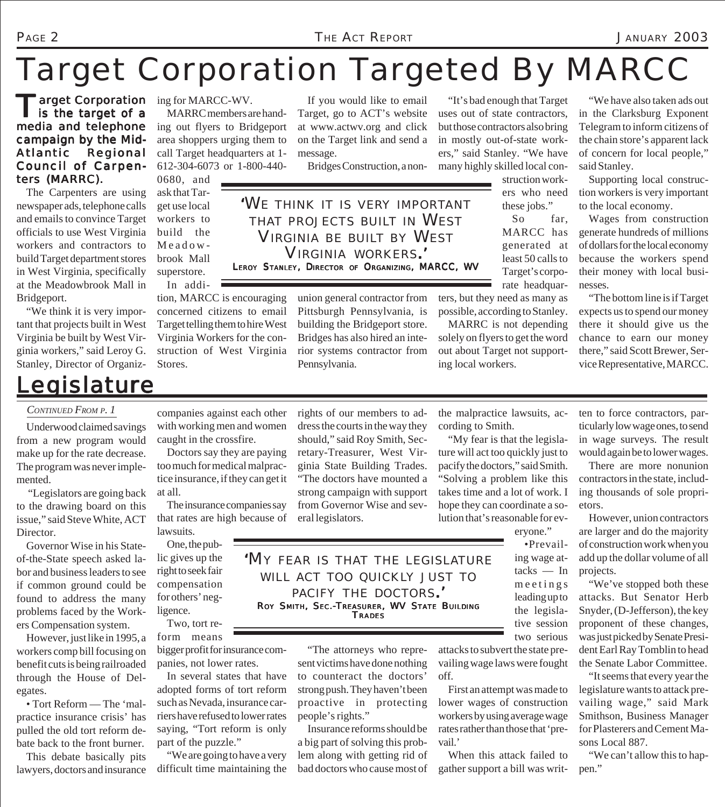## *Target Corporation Targeted By MARCC*

Target Corporation<br>
is the target of a media and telephone campaign by the Mid-Atlantic Regional Council of Carpenters (MARRC). **Target Corporation** ing for MARCC-WV.

The Carpenters are using newspaper ads, telephone calls and emails to convince Target officials to use West Virginia workers and contractors to build Target department stores in West Virginia, specifically at the Meadowbrook Mall in Bridgeport.

"We think it is very important that projects built in West Virginia be built by West Virginia workers," said Leroy G. Stanley, Director of Organiz-

### *Legislature*

MARRC members are handing out flyers to Bridgeport area shoppers urging them to call Target headquarters at 1- 612-304-6073 or 1-800-440-

0680, and ask that Target use local workers to build the Meadowbrook Mall superstore.

In addition, MARCC is encouraging concerned citizens to email Target telling them to hire West Virginia Workers for the construction of West Virginia Stores.

If you would like to email Target, go to ACT's website at www.actwv.org and click on the Target link and send a message.

Bridges Construction, a non-

*'WE THINK IT IS VERY IMPORTANT THAT PROJECTS BUILT IN WEST VIRGINIA BE BUILT BY WEST VIRGINIA WORKERS.'* LEROY STANLEY, DIRECTOR OF ORGANIZING, MARCC, WV

> union general contractor from Pittsburgh Pennsylvania, is building the Bridgeport store. Bridges has also hired an interior systems contractor from Pennsylvania.

"It's bad enough that Target uses out of state contractors, but those contractors also bring in mostly out-of-state workers," said Stanley. "We have many highly skilled local con-

> struction workers who need these jobs."

So far, MARCC has generated at least 50 calls to Target's corporate headquar-

ters, but they need as many as possible, according to Stanley.

MARRC is not depending solely on flyers to get the word out about Target not supporting local workers.

"We have also taken ads out in the Clarksburg Exponent Telegram to inform citizens of the chain store's apparent lack of concern for local people," said Stanley.

Supporting local construction workers is very important to the local economy.

Wages from construction generate hundreds of millions of dollars for the local economy because the workers spend their money with local businesses.

"The bottom line is if Target expects us to spend our money there it should give us the chance to earn our money there," said Scott Brewer, Service Representative, MARCC.

*CONTINUED FROM P. 1*

Underwood claimed savings from a new program would make up for the rate decrease. The program was never implemented.

 "Legislators are going back to the drawing board on this issue," said Steve White, ACT Director.

Governor Wise in his Stateof-the-State speech asked labor and business leaders to see if common ground could be found to address the many problems faced by the Workers Compensation system.

However, just like in 1995, a workers comp bill focusing on benefit cuts is being railroaded through the House of Delegates.

• Tort Reform — The 'malpractice insurance crisis' has pulled the old tort reform debate back to the front burner.

This debate basically pits lawyers, doctors and insurance companies against each other with working men and women caught in the crossfire.

Doctors say they are paying too much for medical malpractice insurance, if they can get it at all.

The insurance companies say that rates are high because of lawsuits.

One, the public gives up the right to seek fair compensation for others' negligence.

Two, tort reform means

bigger profit for insurance companies, not lower rates.

In several states that have adopted forms of tort reform such as Nevada, insurance carriers have refused to lower rates saying, "Tort reform is only part of the puzzle."

"We are going to have a very difficult time maintaining the rights of our members to address the courts in the way they should," said Roy Smith, Secretary-Treasurer, West Virginia State Building Trades. "The doctors have mounted a strong campaign with support from Governor Wise and several legislators.

the malpractice lawsuits, according to Smith.

"My fear is that the legislature will act too quickly just to pacify the doctors," said Smith. "Solving a problem like this takes time and a lot of work. I hope they can coordinate a solution that's reasonable for ev-

eryone."

•Prevailing wage attacks — In meetings leading up to the legislative session two serious

attacks to subvert the state prevailing wage laws were fought off.

First an attempt was made to lower wages of construction workers by using average wage rates rather than those that 'prevail.'

When this attack failed to gather support a bill was writ-

ten to force contractors, particularly low wage ones, to send in wage surveys. The result would again be to lower wages.

There are more nonunion contractors in the state, including thousands of sole proprietors.

However, union contractors are larger and do the majority of construction work when you add up the dollar volume of all projects.

"We've stopped both these attacks. But Senator Herb Snyder, (D-Jefferson), the key proponent of these changes, was just picked by Senate President Earl Ray Tomblin to head the Senate Labor Committee.

"It seems that every year the legislature wants to attack prevailing wage," said Mark Smithson, Business Manager for Plasterers and Cement Masons Local 887.

"We can't allow this to happen."

*'MY FEAR IS THAT THE LEGISLATURE WILL ACT TOO QUICKLY JUST TO PACIFY THE DOCTORS.'* ROY SMITH, SEC.-TREASURER, WV STATE BUILDING **TRADES** 

"The attorneys who represent victims have done nothing to counteract the doctors' strong push. They haven't been proactive in protecting people's rights."

Insurance reforms should be a big part of solving this problem along with getting rid of bad doctors who cause most of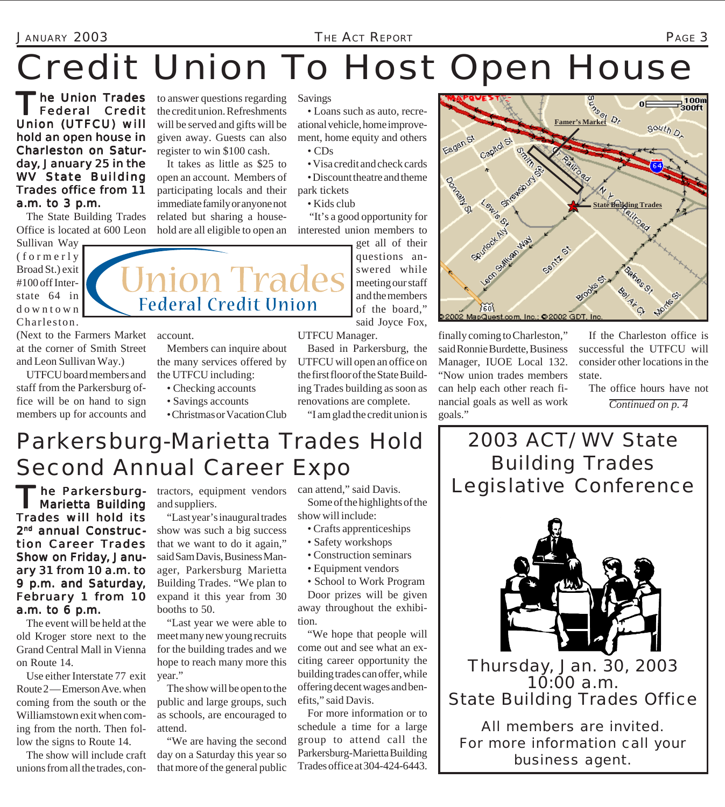# Credit Union To Host Open House

The Union Trades Federal Credit Union (UTFCU) will hold an open house in Charleston on Saturday, January 25 in the WV State Building Trades office from 11 a.m. to 3 p.m.

The State Building Trades Office is located at 600 Leon

Sullivan Way (formerly Broad St.) exit #100 off Interstate 64 in downtown Charleston.

(Next to the Farmers Market account. at the corner of Smith Street and Leon Sullivan Way.)

UTFCU board members and staff from the Parkersburg office will be on hand to sign members up for accounts and

to answer questions regarding the credit union. Refreshments will be served and gifts will be given away. Guests can also register to win \$100 cash.

It takes as little as \$25 to open an account. Members of participating locals and their immediate family or anyone not related but sharing a house-

Savings

• Loans such as auto, recreational vehicle, home improvement, home equity and others • CDs

• Visa credit and check cards

• Discount theatre and theme park tickets

• Kids club

hold are all eligible to open an interested union members to "It's a good opportunity for

> get all of their questions answered while meeting our staff and the members of the board," said Joyce Fox,

UTFCU Manager.

Based in Parkersburg, the UTFCU will open an office on the first floor of the State Building Trades building as soon as renovations are complete.

"I am glad the credit union is



**Famer's Market**<br>Famer's Market<sup>*Dr*</sup>  $s_{\text{out}}$ Fagan St Cagilol St **Content** SI (ON Low St **State Building Trades**SPUMPLA AVI Santy St 筋 002 MapQuest.com, Inc.; © 2002

finally coming to Charleston," said Ronnie Burdette, Business Manager, IUOE Local 132. "Now union trades members can help each other reach financial goals as well as work goals."

If the Charleston office is successful the UTFCU will consider other locations in the state.

The office hours have not

*Continued on p. 4*

## Parkersburg-Marietta Trades Hold Second Annual Career Expo

• Christmas or Vacation Club

Members can inquire about the many services offered by

the UTFCU including: • Checking accounts • Savings accounts

'he Parkersburg-Marietta Building Trades will hold its 2<sup>nd</sup> annual Construction Career Trades Show on Friday, January 31 from 10  $a.m.$  to 9 p.m. and Saturday, February 1 from 10 a.m. to 6 p.m.

The event will be held at the old Kroger store next to the Grand Central Mall in Vienna on Route 14.

Use either Interstate 77 exit Route 2—Emerson Ave. when coming from the south or the Williamstown exit when coming from the north. Then follow the signs to Route 14.

The show will include craft unions from all the trades, contractors, equipment vendors and suppliers.

"Last year's inaugural trades show was such a big success that we want to do it again," said Sam Davis, Business Manager, Parkersburg Marietta Building Trades. "We plan to expand it this year from 30 booths to 50.

"Last year we were able to meet many new young recruits for the building trades and we hope to reach many more this year."

The show will be open to the public and large groups, such as schools, are encouraged to attend.

"We are having the second day on a Saturday this year so that more of the general public

can attend," said Davis. Some of the highlights of the show will include:

- Crafts apprenticeships
- Safety workshops
- Construction seminars
- Equipment vendors

• School to Work Program Door prizes will be given away throughout the exhibition.

"We hope that people will come out and see what an exciting career opportunity the building trades can offer, while offering decent wages and benefits," said Davis.

For more information or to schedule a time for a large group to attend call the Parkersburg-Marietta Building Trades office at 304-424-6443.

#### 2003 ACT/ WV State Building Trades Legislative Conference



Thursday, Jan. 30, 2003 10:00 a.m. State Building Trades Office

*All members are invited. For more information call your business agent.*